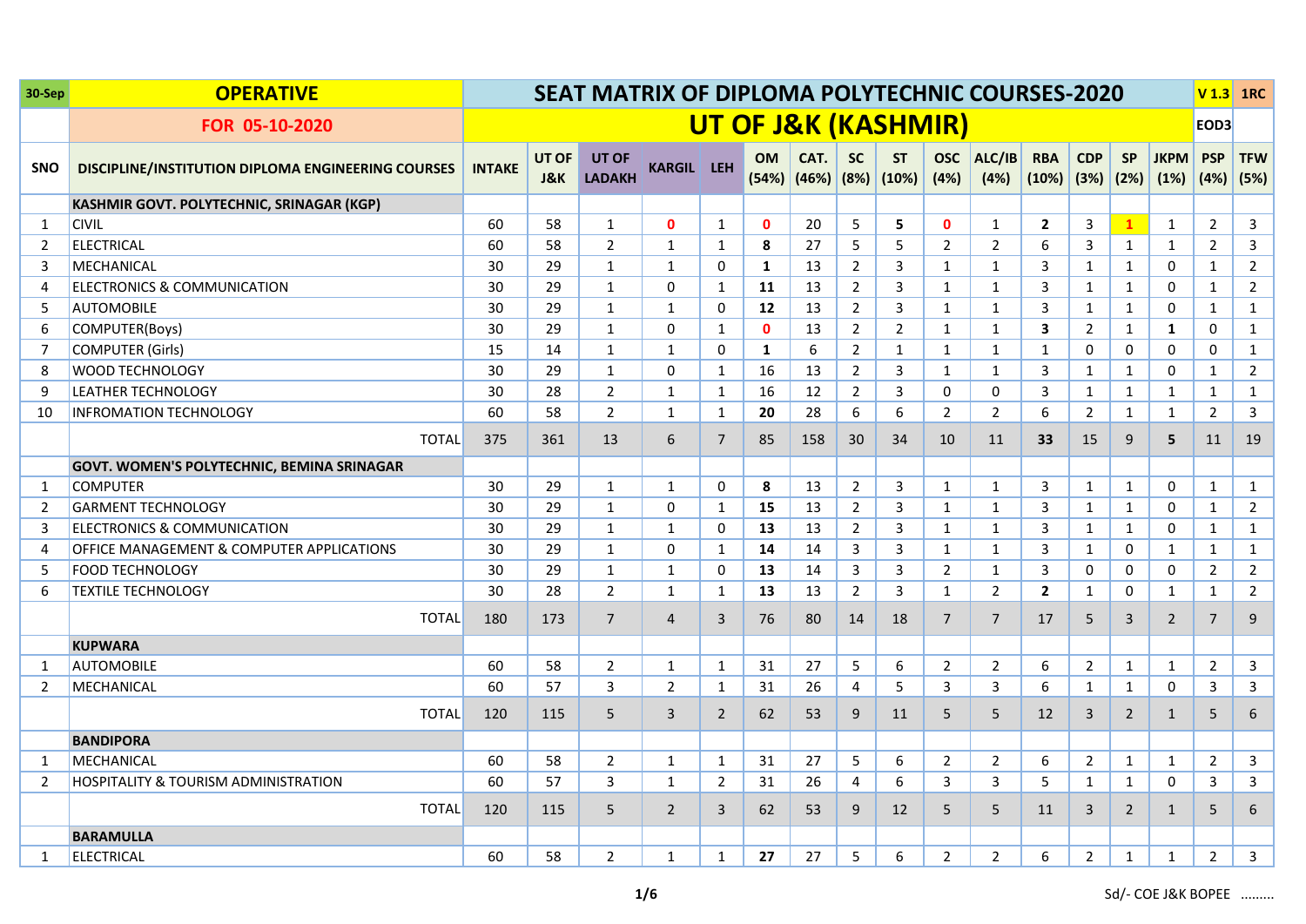| 30-Sep     | <b>OPERATIVE</b>                                   | <b>SEAT MATRIX OF DIPLOMA POLYTECHNIC COURSES-2020</b><br>UT OF J&K (KASHMIR) |                         |                               |                     |                |              |                                        |                |                  |                    |                |                             |                |                   | <b>V1.3 1RC</b>     |                    |                    |
|------------|----------------------------------------------------|-------------------------------------------------------------------------------|-------------------------|-------------------------------|---------------------|----------------|--------------|----------------------------------------|----------------|------------------|--------------------|----------------|-----------------------------|----------------|-------------------|---------------------|--------------------|--------------------|
|            | FOR 05-10-2020                                     |                                                                               |                         |                               |                     |                |              |                                        |                |                  |                    |                |                             |                |                   |                     | EOD3               |                    |
| <b>SNO</b> | DISCIPLINE/INSTITUTION DIPLOMA ENGINEERING COURSES | <b>INTAKE</b>                                                                 | UT OF<br><b>J&amp;K</b> | <b>UT OF</b><br><b>LADAKH</b> | <b>KARGIL LEH</b>   |                | <b>OM</b>    | CAT.<br>$(54%)$ $(46%)$ $(8%)$ $(10%)$ | <b>SC</b>      | <b>ST</b>        | <b>OSC</b><br>(4%) | ALC/IB<br>(4%) | <b>RBA</b><br>$(10\%)$ (3%) | <b>CDP</b>     | <b>SP</b><br>(2%) | <b>JKPM</b><br>(1%) | <b>PSP</b><br>(4%) | <b>TFW</b><br>(5%) |
|            | KASHMIR GOVT. POLYTECHNIC, SRINAGAR (KGP)          |                                                                               |                         |                               |                     |                |              |                                        |                |                  |                    |                |                             |                |                   |                     |                    |                    |
| 1          | <b>CIVIL</b>                                       | 60                                                                            | 58                      | $\mathbf{1}$                  | $\mathbf{0}$        | 1              | $\mathbf{0}$ | 20                                     | 5              | 5                | $\mathbf{0}$       | $\mathbf{1}$   | $\overline{2}$              | 3              | $\mathbf{1}$      | $\mathbf{1}$        | $\overline{2}$     | 3                  |
| 2          | <b>ELECTRICAL</b>                                  | 60                                                                            | 58                      | $\overline{2}$                | $\mathbf{1}$        | $\mathbf{1}$   | 8            | 27                                     | 5              | 5                | $\overline{2}$     | $\overline{2}$ | 6                           | 3              | $\mathbf{1}$      | $\mathbf{1}$        | $2^{\circ}$        | 3                  |
| 3          | MECHANICAL                                         | 30                                                                            | 29                      | $\mathbf{1}$                  | $\mathbf{1}$        | 0              | $\mathbf{1}$ | 13                                     | $\overline{2}$ | 3                | $\mathbf{1}$       | $\mathbf{1}$   | 3                           | 1              | $\mathbf{1}$      | 0                   | $\mathbf{1}$       | $\overline{2}$     |
| 4          | ELECTRONICS & COMMUNICATION                        | 30                                                                            | 29                      | $\mathbf{1}$                  | $\mathbf{0}$        | $\mathbf{1}$   | 11           | 13                                     | $\overline{2}$ | 3                | $\mathbf{1}$       | $\mathbf{1}$   | $\overline{3}$              | $\mathbf{1}$   | $\mathbf{1}$      | $\mathbf 0$         | $\mathbf{1}$       | $\overline{2}$     |
| 5          | <b>AUTOMOBILE</b>                                  | 30                                                                            | 29                      | $\mathbf{1}$                  | $\mathbf{1}$        | $\mathbf 0$    | 12           | 13                                     | $\overline{2}$ | $\mathbf{3}$     | $\mathbf{1}$       | $\mathbf{1}$   | $\overline{3}$              | $\mathbf{1}$   | $\mathbf{1}$      | $\mathbf 0$         | $\mathbf{1}$       | $\mathbf{1}$       |
| 6          | COMPUTER(Boys)                                     | 30                                                                            | 29                      | $\mathbf{1}$                  | $\mathbf 0$         | 1              | $\mathbf{0}$ | 13                                     | $\overline{2}$ | $\overline{2}$   | $\mathbf{1}$       | $\mathbf{1}$   | 3                           | $\overline{2}$ | $\mathbf{1}$      | $\mathbf{1}$        | $\mathbf 0$        | 1                  |
| 7          | <b>COMPUTER (Girls)</b>                            | 15                                                                            | 14                      | $\mathbf{1}$                  | $\mathbf{1}$        | 0              | $\mathbf{1}$ | 6                                      | $\overline{2}$ | $\mathbf{1}$     | $\mathbf{1}$       | $\mathbf{1}$   | $\mathbf{1}$                | 0              | $\mathbf 0$       | 0                   | 0                  | $\mathbf{1}$       |
| 8          | <b>WOOD TECHNOLOGY</b>                             | 30                                                                            | 29                      | $\mathbf{1}$                  | $\mathsf{O}\xspace$ | $\mathbf{1}$   | 16           | 13                                     | $\overline{2}$ | $\mathbf{3}$     | $\mathbf{1}$       | $\mathbf{1}$   | 3                           | $\mathbf{1}$   | $\mathbf{1}$      | $\mathbf 0$         | $\mathbf{1}$       | $\overline{2}$     |
| 9          | <b>LEATHER TECHNOLOGY</b>                          | 30                                                                            | 28                      | $\overline{2}$                | $\mathbf{1}$        | $\mathbf{1}$   | 16           | 12                                     | $\overline{2}$ | 3                | 0                  | 0              | 3                           | $\mathbf{1}$   | $\mathbf{1}$      | $\mathbf{1}$        | $\mathbf{1}$       | $\mathbf{1}$       |
| 10         | <b>INFROMATION TECHNOLOGY</b>                      | 60                                                                            | 58                      | $\overline{2}$                | $\mathbf{1}$        | $\mathbf{1}$   | 20           | 28                                     | 6              | $\boldsymbol{6}$ | $\overline{2}$     | $\overline{2}$ | 6                           | $\overline{2}$ | $\mathbf{1}$      | $\mathbf{1}$        | $\overline{2}$     | 3                  |
|            | <b>TOTAL</b>                                       | 375                                                                           | 361                     | 13                            | 6                   | $\overline{7}$ | 85           | 158                                    | 30             | 34               | 10                 | 11             | 33                          | 15             | 9                 | 5                   | 11                 | 19                 |
|            | <b>GOVT. WOMEN'S POLYTECHNIC, BEMINA SRINAGAR</b>  |                                                                               |                         |                               |                     |                |              |                                        |                |                  |                    |                |                             |                |                   |                     |                    |                    |
| 1          | <b>COMPUTER</b>                                    | 30                                                                            | 29                      | $\mathbf{1}$                  | $\mathbf{1}$        | $\mathbf 0$    | 8            | 13                                     | $\overline{2}$ | 3                | $\mathbf{1}$       | $\mathbf{1}$   | 3                           | $\mathbf{1}$   | $\mathbf{1}$      | $\mathbf 0$         | $\mathbf{1}$       | $\mathbf{1}$       |
| 2          | <b>GARMENT TECHNOLOGY</b>                          | 30                                                                            | 29                      | $\mathbf{1}$                  | 0                   | $\mathbf{1}$   | 15           | 13                                     | $\overline{2}$ | 3                | $\mathbf{1}$       | $\mathbf{1}$   | 3                           | $\mathbf{1}$   | $\mathbf{1}$      | 0                   | $\mathbf{1}$       | $\overline{2}$     |
| 3          | <b>ELECTRONICS &amp; COMMUNICATION</b>             | 30                                                                            | 29                      | $\mathbf{1}$                  | $\mathbf{1}$        | $\mathbf 0$    | 13           | 13                                     | $\overline{2}$ | 3                | $\mathbf{1}$       | $\mathbf{1}$   | 3                           | $\mathbf{1}$   | $\mathbf{1}$      | $\mathbf 0$         | $\mathbf{1}$       | $\mathbf{1}$       |
| 4          | OFFICE MANAGEMENT & COMPUTER APPLICATIONS          | 30                                                                            | 29                      | $\mathbf{1}$                  | $\mathbf{0}$        | $\mathbf{1}$   | 14           | 14                                     | 3              | 3                | $\mathbf{1}$       | $\mathbf{1}$   | 3                           | 1              | $\mathbf 0$       | 1                   | $\mathbf{1}$       | $\mathbf{1}$       |
| 5          | <b>FOOD TECHNOLOGY</b>                             | 30                                                                            | 29                      | $\mathbf{1}$                  | $\mathbf{1}$        | $\mathbf 0$    | 13           | 14                                     | 3              | $\mathbf{3}$     | $\overline{2}$     | $\mathbf{1}$   | 3                           | $\mathbf 0$    | 0                 | $\mathbf 0$         | $\overline{2}$     | $\overline{2}$     |
| 6          | <b>TEXTILE TECHNOLOGY</b>                          | 30                                                                            | 28                      | $\overline{2}$                | $\mathbf{1}$        | $\mathbf{1}$   | 13           | 13                                     | $\overline{2}$ | 3                | $\mathbf{1}$       | $\overline{2}$ | $\overline{2}$              | 1              | $\mathbf 0$       | 1                   | $\mathbf{1}$       | $\overline{2}$     |
|            | <b>TOTAL</b>                                       | 180                                                                           | 173                     | $\overline{7}$                | $\overline{4}$      | $\overline{3}$ | 76           | 80                                     | 14             | 18               | $\overline{7}$     | $\overline{7}$ | 17                          | 5              | 3                 | 2                   | $\overline{7}$     | 9                  |
|            | <b>KUPWARA</b>                                     |                                                                               |                         |                               |                     |                |              |                                        |                |                  |                    |                |                             |                |                   |                     |                    |                    |
| 1          | <b>AUTOMOBILE</b>                                  | 60                                                                            | 58                      | $\overline{2}$                | $\mathbf{1}$        | $\mathbf{1}$   | 31           | 27                                     | 5              | 6                | $\overline{2}$     | $2^{\circ}$    | 6                           | $\overline{2}$ | $\mathbf{1}$      | 1                   | $\overline{2}$     | 3                  |
| 2          | MECHANICAL                                         | 60                                                                            | 57                      | 3                             | 2                   | $\mathbf{1}$   | 31           | 26                                     | 4              | 5                | 3                  | 3              | 6                           | 1              | $\mathbf{1}$      | $\mathbf 0$         | 3                  | 3                  |
|            | <b>TOTAL</b>                                       | 120                                                                           | 115                     | 5                             | 3                   | 2              | 62           | 53                                     | 9              | 11               | 5                  | 5              | 12                          | 3              | $\overline{2}$    | $\mathbf{1}$        | 5                  | 6                  |
|            | <b>BANDIPORA</b>                                   |                                                                               |                         |                               |                     |                |              |                                        |                |                  |                    |                |                             |                |                   |                     |                    |                    |
| 1          | MECHANICAL                                         | 60                                                                            | 58                      | $\overline{2}$                | 1                   | $\mathbf{1}$   | 31           | 27                                     | 5              | $\boldsymbol{6}$ | $\overline{2}$     | $2^{\circ}$    | 6                           | $\overline{2}$ | $\mathbf{1}$      | 1                   | $\overline{2}$     | 3                  |
| 2          | <b>HOSPITALITY &amp; TOURISM ADMINISTRATION</b>    | 60                                                                            | 57                      | 3                             | $\mathbf{1}$        | 2              | 31           | 26                                     | 4              | 6                | 3                  | 3              | 5                           | 1              | $\mathbf{1}$      | $\mathbf 0$         | 3                  | 3                  |
|            | <b>TOTAL</b>                                       | 120                                                                           | 115                     | 5                             | $\overline{2}$      | 3              | 62           | 53                                     | 9              | 12               | 5                  | 5              | 11                          | 3              | $\overline{2}$    | $\mathbf{1}$        | 5                  | 6                  |
|            | <b>BARAMULLA</b>                                   |                                                                               |                         |                               |                     |                |              |                                        |                |                  |                    |                |                             |                |                   |                     |                    |                    |
| 1          | ELECTRICAL                                         | 60                                                                            | 58                      | $\overline{2}$                | 1                   | 1              | 27           | 27                                     | 5              | 6                | $\overline{2}$     | $\overline{2}$ | 6                           | $\overline{2}$ | 1                 | 1                   | $\overline{2}$     | 3                  |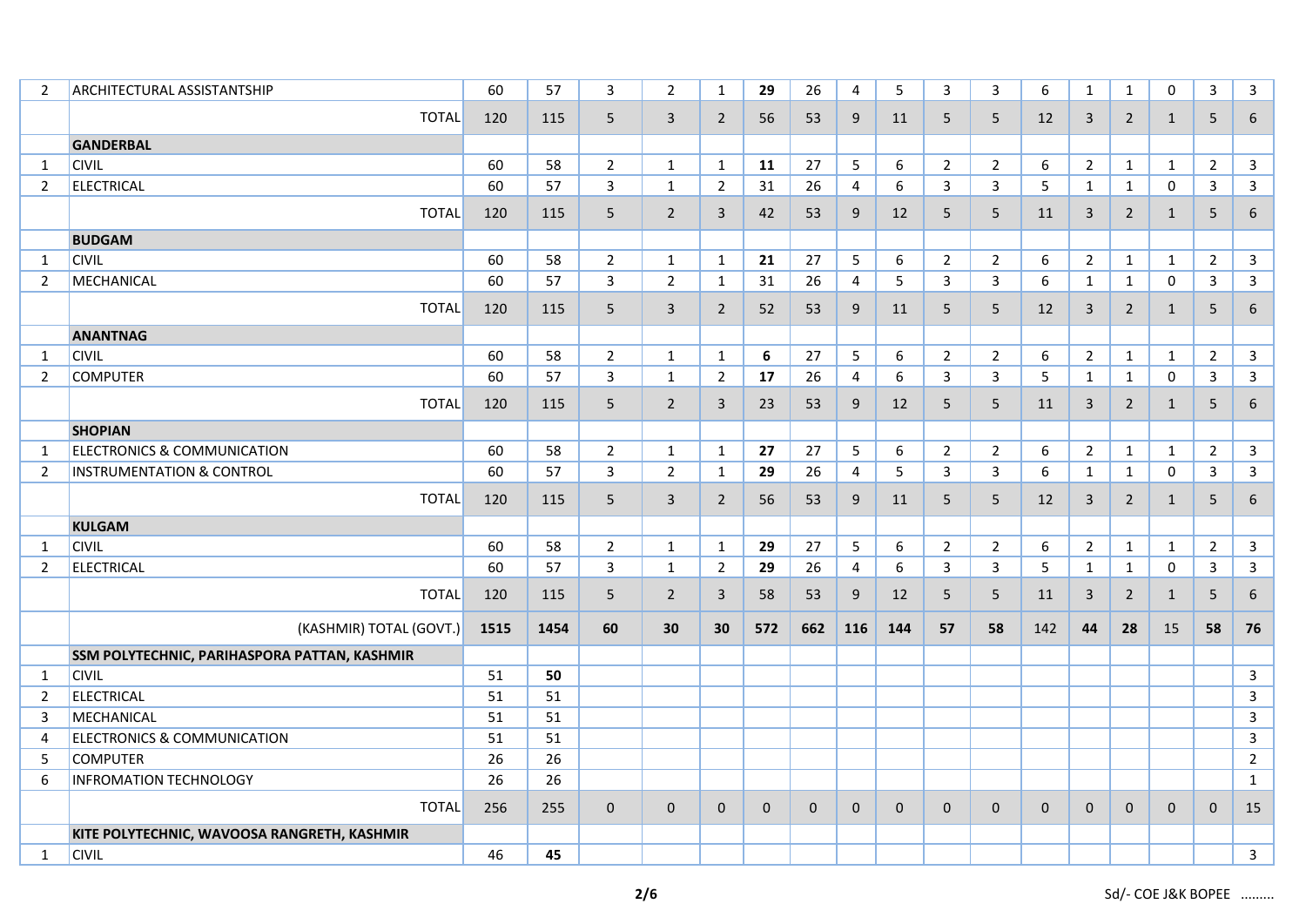| 2              | <b>ARCHITECTURAL ASSISTANTSHIP</b>           | 60   | 57   | $\overline{3}$ | $\overline{2}$ | $\mathbf{1}$   | 29               | 26          | 4              | 5   | 3              | $\overline{3}$ | 6           | $\mathbf{1}$   | $\mathbf{1}$   | $\mathbf 0$  | $\mathbf{3}$   | $\overline{3}$ |
|----------------|----------------------------------------------|------|------|----------------|----------------|----------------|------------------|-------------|----------------|-----|----------------|----------------|-------------|----------------|----------------|--------------|----------------|----------------|
|                | <b>TOTAL</b>                                 | 120  | 115  | $5\phantom{.}$ | $\mathbf{3}$   | $\overline{2}$ | 56               | 53          | 9              | 11  | 5              | 5              | 12          | $\mathbf{3}$   | $2^{\circ}$    | $\mathbf{1}$ | 5              | 6              |
|                | <b>GANDERBAL</b>                             |      |      |                |                |                |                  |             |                |     |                |                |             |                |                |              |                |                |
| $\mathbf{1}$   | <b>CIVIL</b>                                 | 60   | 58   | $\overline{2}$ | $\mathbf{1}$   | $\mathbf{1}$   | 11               | 27          | 5              | 6   | $\overline{2}$ | $2^{\circ}$    | 6           | $\overline{2}$ | $\mathbf{1}$   | $\mathbf{1}$ | $\overline{2}$ | $\mathbf{3}$   |
| $\overline{2}$ | <b>ELECTRICAL</b>                            | 60   | 57   | $\overline{3}$ | $\mathbf{1}$   | $\overline{2}$ | 31               | 26          | $\overline{4}$ | 6   | 3              | 3              | 5           | $\mathbf{1}$   | $\mathbf{1}$   | 0            | 3              | $\overline{3}$ |
|                | <b>TOTAL</b>                                 | 120  | 115  | 5              | $\overline{2}$ | 3              | 42               | 53          | 9              | 12  | 5              | 5              | 11          | $\mathbf{3}$   | $\overline{2}$ | $\mathbf{1}$ | 5              | 6              |
|                | <b>BUDGAM</b>                                |      |      |                |                |                |                  |             |                |     |                |                |             |                |                |              |                |                |
| 1              | <b>CIVIL</b>                                 | 60   | 58   | $\overline{2}$ | $\mathbf{1}$   | $\mathbf{1}$   | 21               | 27          | 5              | 6   | $\overline{2}$ | $\overline{2}$ | 6           | $\overline{2}$ | $\mathbf{1}$   | $\mathbf{1}$ | $\overline{2}$ | $\mathbf{3}$   |
| 2              | MECHANICAL                                   | 60   | 57   | 3              | $\overline{2}$ | 1              | 31               | 26          | $\overline{4}$ | 5   | 3              | $\mathbf{3}$   | 6           | $\mathbf{1}$   | $\mathbf{1}$   | $\mathbf 0$  | $\mathbf{3}$   | $\mathbf{3}$   |
|                | <b>TOTAL</b>                                 | 120  | 115  | 5              | 3              | $\overline{2}$ | 52               | 53          | 9              | 11  | 5              | 5              | 12          | 3              | $\overline{2}$ | $\mathbf{1}$ | 5              | 6              |
|                | <b>ANANTNAG</b>                              |      |      |                |                |                |                  |             |                |     |                |                |             |                |                |              |                |                |
| 1              | <b>CIVIL</b>                                 | 60   | 58   | $\overline{2}$ | $\mathbf{1}$   | $\mathbf{1}$   | $\boldsymbol{6}$ | 27          | 5              | 6   | $\overline{2}$ | $\overline{2}$ | 6           | $\overline{2}$ | $\mathbf{1}$   | $\mathbf{1}$ | $\overline{2}$ | $\mathbf{3}$   |
| $\overline{2}$ | <b>COMPUTER</b>                              | 60   | 57   | $\mathbf{3}$   | $\mathbf{1}$   | $\overline{2}$ | 17               | 26          | $\overline{4}$ | 6   | 3              | $\mathbf{3}$   | 5           | $\mathbf{1}$   | $\mathbf{1}$   | $\mathbf 0$  | $\mathbf{3}$   | $\mathbf{3}$   |
|                | <b>TOTAL</b>                                 | 120  | 115  | 5              | $\overline{2}$ | $\mathbf{3}$   | 23               | 53          | 9              | 12  | 5              | 5              | 11          | 3              | $\overline{2}$ | $\mathbf{1}$ | 5              | 6              |
|                | <b>SHOPIAN</b>                               |      |      |                |                |                |                  |             |                |     |                |                |             |                |                |              |                |                |
| 1              | <b>ELECTRONICS &amp; COMMUNICATION</b>       | 60   | 58   | $\overline{2}$ | $\mathbf{1}$   | $\mathbf{1}$   | 27               | 27          | 5              | 6   | $\overline{2}$ | $\overline{2}$ | 6           | $\overline{2}$ | $\mathbf{1}$   | $\mathbf{1}$ | $\overline{2}$ | $\mathbf{3}$   |
| $\overline{2}$ | <b>INSTRUMENTATION &amp; CONTROL</b>         | 60   | 57   | $\mathbf{3}$   | $\overline{2}$ | $\mathbf{1}$   | 29               | 26          | 4              | 5   | 3              | $\overline{3}$ | 6           | $\mathbf{1}$   | $\mathbf{1}$   | $\mathbf{0}$ | $\mathbf{3}$   | $\mathbf{3}$   |
|                | <b>TOTAL</b>                                 | 120  | 115  | 5              | $\overline{3}$ | $\overline{2}$ | 56               | 53          | 9              | 11  | 5              | 5              | 12          | 3              | $\overline{2}$ | 1            | 5              | 6              |
|                | <b>KULGAM</b>                                |      |      |                |                |                |                  |             |                |     |                |                |             |                |                |              |                |                |
| 1              | <b>CIVIL</b>                                 | 60   | 58   | $\overline{2}$ | $\mathbf{1}$   | 1              | 29               | 27          | 5              | 6   | $\overline{2}$ | $\overline{2}$ | 6           | $\overline{2}$ | $\mathbf{1}$   | $\mathbf{1}$ | $\overline{2}$ | $\mathbf{3}$   |
| $\overline{2}$ | <b>ELECTRICAL</b>                            | 60   | 57   | $\mathbf{3}$   | $\mathbf{1}$   | $\overline{2}$ | 29               | 26          | 4              | 6   | 3              | $\overline{3}$ | 5           | $\mathbf{1}$   | $\mathbf{1}$   | $\mathbf 0$  | 3              | $\mathbf{3}$   |
|                | <b>TOTAL</b>                                 | 120  | 115  | 5              | $\overline{2}$ | $\mathbf{3}$   | 58               | 53          | 9              | 12  | 5              | 5              | 11          | 3              | $\overline{2}$ | $\mathbf{1}$ | 5              | 6              |
|                | (KASHMIR) TOTAL (GOVT.)                      | 1515 | 1454 | 60             | 30             | 30             | 572              | 662         | 116            | 144 | 57             | 58             | 142         | 44             | 28             | 15           | 58             | 76             |
|                | SSM POLYTECHNIC, PARIHASPORA PATTAN, KASHMIR |      |      |                |                |                |                  |             |                |     |                |                |             |                |                |              |                |                |
| 1              | <b>CIVIL</b>                                 | 51   | 50   |                |                |                |                  |             |                |     |                |                |             |                |                |              |                | $\mathsf{3}$   |
| 2              | <b>ELECTRICAL</b>                            | 51   | 51   |                |                |                |                  |             |                |     |                |                |             |                |                |              |                | $\mathsf{3}$   |
| 3              | MECHANICAL                                   | 51   | 51   |                |                |                |                  |             |                |     |                |                |             |                |                |              |                | $\mathbf{3}$   |
| 4              | <b>ELECTRONICS &amp; COMMUNICATION</b>       | 51   | 51   |                |                |                |                  |             |                |     |                |                |             |                |                |              |                | $\mathbf{3}$   |
| 5              | <b>COMPUTER</b>                              | 26   | 26   |                |                |                |                  |             |                |     |                |                |             |                |                |              |                | $\overline{2}$ |
| 6              | <b>INFROMATION TECHNOLOGY</b>                | 26   | 26   |                |                |                |                  |             |                |     |                |                |             |                |                |              |                | $\mathbf{1}$   |
|                | <b>TOTAL</b>                                 | 256  | 255  | $\mathbf 0$    | $\mathbf 0$    | $\mathbf 0$    | $\mathbf 0$      | $\mathbf 0$ | $\mathbf{0}$   | 0   | $\mathbf 0$    | $\pmb{0}$      | $\mathbf 0$ | $\mathbf 0$    | $\mathbf 0$    | $\mathbf 0$  | $\mathbf 0$    | 15             |
|                | KITE POLYTECHNIC, WAVOOSA RANGRETH, KASHMIR  |      |      |                |                |                |                  |             |                |     |                |                |             |                |                |              |                |                |
| $\mathbf{1}$   | <b>CIVIL</b>                                 | 46   | 45   |                |                |                |                  |             |                |     |                |                |             |                |                |              |                | $\mathbf{3}$   |
|                |                                              |      |      |                |                |                |                  |             |                |     |                |                |             |                |                |              |                |                |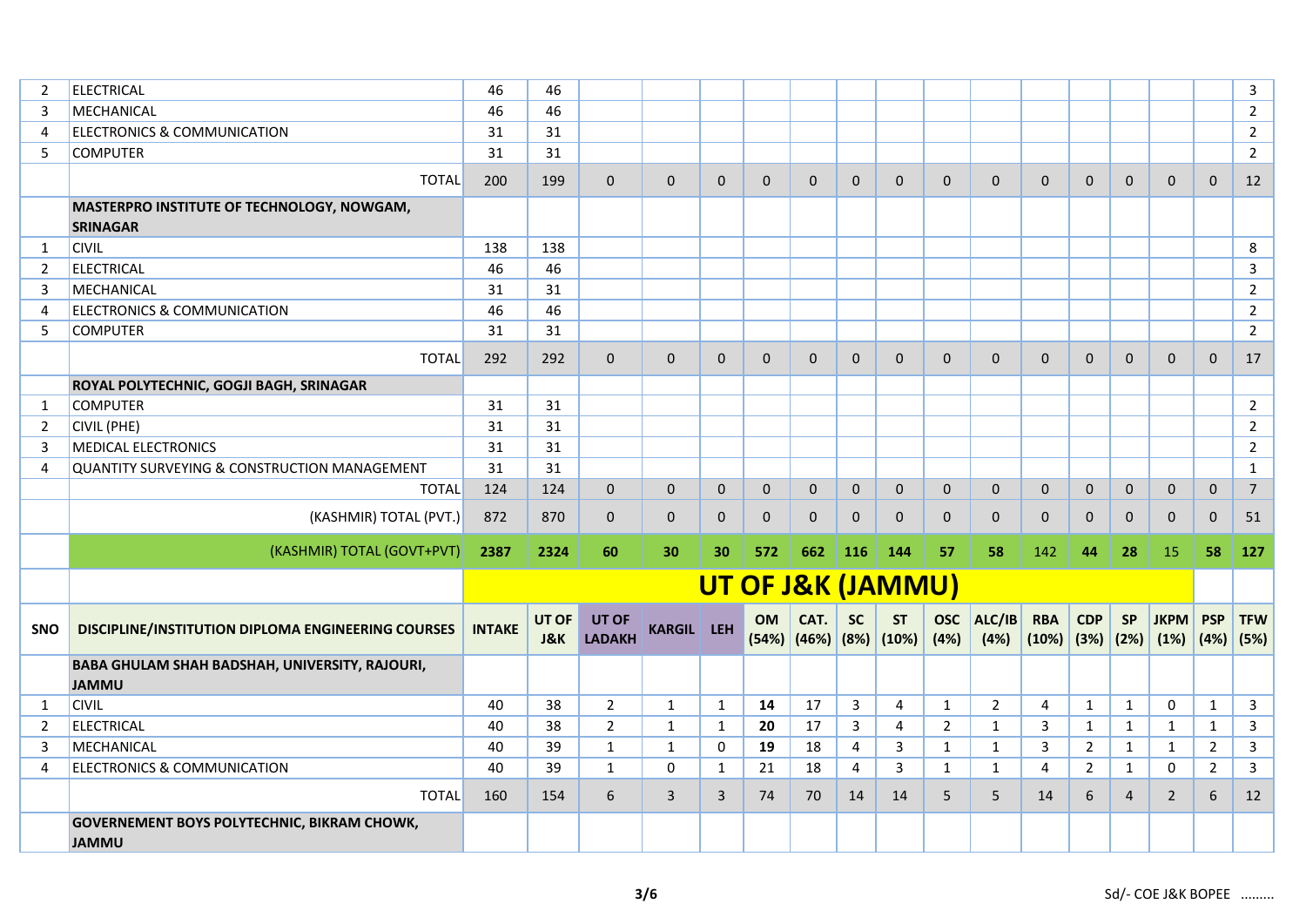| $\overline{2}$ | <b>ELECTRICAL</b>                                                  | 46            | 46                      |                               |                   |              |                   |              |              |                                             |                    |                |                                  |              |                |                     |                           | $\overline{3}$ |
|----------------|--------------------------------------------------------------------|---------------|-------------------------|-------------------------------|-------------------|--------------|-------------------|--------------|--------------|---------------------------------------------|--------------------|----------------|----------------------------------|--------------|----------------|---------------------|---------------------------|----------------|
| 3              | MECHANICAL                                                         | 46            | 46                      |                               |                   |              |                   |              |              |                                             |                    |                |                                  |              |                |                     |                           | $\overline{2}$ |
| 4              | <b>ELECTRONICS &amp; COMMUNICATION</b>                             | 31            | 31                      |                               |                   |              |                   |              |              |                                             |                    |                |                                  |              |                |                     |                           | $\overline{2}$ |
| 5              | <b>COMPUTER</b>                                                    | 31            | 31                      |                               |                   |              |                   |              |              |                                             |                    |                |                                  |              |                |                     |                           | $\overline{2}$ |
|                | <b>TOTAL</b>                                                       | 200           | 199                     | $\Omega$                      | $\Omega$          | $\Omega$     | $\mathbf{0}$      | $\Omega$     | $\mathbf{0}$ | $\mathbf{0}$                                | $\mathbf{0}$       | $\mathbf{0}$   | $\mathbf{0}$                     | $\mathbf{0}$ | $\mathbf{0}$   | $\mathbf{0}$        | $\mathbf{0}$              | 12             |
|                | MASTERPRO INSTITUTE OF TECHNOLOGY, NOWGAM,<br><b>SRINAGAR</b>      |               |                         |                               |                   |              |                   |              |              |                                             |                    |                |                                  |              |                |                     |                           |                |
| 1              | <b>CIVIL</b>                                                       | 138           | 138                     |                               |                   |              |                   |              |              |                                             |                    |                |                                  |              |                |                     |                           | 8              |
| $\overline{2}$ | <b>ELECTRICAL</b>                                                  | 46            | 46                      |                               |                   |              |                   |              |              |                                             |                    |                |                                  |              |                |                     |                           | $\mathsf{3}$   |
| 3              | MECHANICAL                                                         | 31            | 31                      |                               |                   |              |                   |              |              |                                             |                    |                |                                  |              |                |                     |                           | $\overline{2}$ |
| 4              | <b>ELECTRONICS &amp; COMMUNICATION</b>                             | 46            | 46                      |                               |                   |              |                   |              |              |                                             |                    |                |                                  |              |                |                     |                           | $\overline{2}$ |
| 5              | <b>COMPUTER</b>                                                    | 31            | 31                      |                               |                   |              |                   |              |              |                                             |                    |                |                                  |              |                |                     |                           | $\overline{2}$ |
|                | <b>TOTAL</b>                                                       | 292           | 292                     | $\mathbf{0}$                  | $\mathbf{0}$      | $\mathbf{0}$ | $\mathbf{0}$      | $\mathbf{0}$ | $\mathbf{0}$ | $\mathbf{0}$                                | $\mathbf{0}$       | $\mathbf{0}$   | $\mathbf{0}$                     | $\mathbf{0}$ | $\mathbf{0}$   | $\mathbf{0}$        | $\mathbf{0}$              | 17             |
|                | ROYAL POLYTECHNIC, GOGJI BAGH, SRINAGAR                            |               |                         |                               |                   |              |                   |              |              |                                             |                    |                |                                  |              |                |                     |                           |                |
| 1              | <b>COMPUTER</b>                                                    | 31            | 31                      |                               |                   |              |                   |              |              |                                             |                    |                |                                  |              |                |                     |                           | $\overline{2}$ |
| 2              | <b>CIVIL (PHE)</b>                                                 | 31            | 31                      |                               |                   |              |                   |              |              |                                             |                    |                |                                  |              |                |                     |                           | $\overline{2}$ |
| 3              | <b>MEDICAL ELECTRONICS</b>                                         | 31            | 31                      |                               |                   |              |                   |              |              |                                             |                    |                |                                  |              |                |                     |                           | $\overline{2}$ |
| 4              | QUANTITY SURVEYING & CONSTRUCTION MANAGEMENT                       | 31            | 31                      |                               |                   |              |                   |              |              |                                             |                    |                |                                  |              |                |                     |                           | $\mathbf{1}$   |
|                | <b>TOTAL</b>                                                       | 124           | 124                     | 0                             | $\mathbf 0$       | $\mathbf 0$  | $\mathbf 0$       | $\mathbf{0}$ | $\mathbf 0$  | $\mathbf{0}$                                | $\mathbf 0$        | $\mathbf{0}$   | $\mathbf{0}$                     | $\mathbf{0}$ | $\mathbf 0$    | $\mathbf 0$         | $\mathsf{O}\xspace$       | $\overline{7}$ |
|                | (KASHMIR) TOTAL (PVT.)                                             | 872           | 870                     | $\mathbf{0}$                  | $\mathbf{0}$      | $\mathbf{0}$ | $\mathbf 0$       | $\mathbf{0}$ | $\mathbf 0$  | $\mathbf{0}$                                | $\mathbf{0}$       | $\mathbf 0$    | $\mathbf{0}$                     | $\mathbf{0}$ | $\mathbf{0}$   | $\mathbf{0}$        | $\mathbf{0}$              | 51             |
|                | (KASHMIR) TOTAL (GOVT+PVT)                                         | 2387          | 2324                    | 60                            | 30                | 30           | 572               | 662          | 116          | 144                                         | 57                 | 58             | 142                              | 44           | 28             | 15                  | 58                        | 127            |
|                |                                                                    |               |                         |                               |                   |              | UT OF J&K (JAMMU) |              |              |                                             |                    |                |                                  |              |                |                     |                           |                |
| <b>SNO</b>     | <b>DISCIPLINE/INSTITUTION DIPLOMA ENGINEERING COURSES</b>          | <b>INTAKE</b> | UT OF<br><b>J&amp;K</b> | <b>UT OF</b><br><b>LADAKH</b> | <b>KARGIL LEH</b> |              | <b>OM</b>         | CAT.         | <b>SC</b>    | <b>ST</b><br>$(54%)$ $(46%)$ $(8%)$ $(10%)$ | <b>OSC</b><br>(4%) | ALC/IB<br>(4%) | <b>RBA</b><br>$(10\%)$ (3%) (2%) | <b>CDP</b>   | <b>SP</b>      | <b>JKPM</b><br>(1%) | <b>PSP</b><br>$(4%)$ (5%) | <b>TFW</b>     |
|                | BABA GHULAM SHAH BADSHAH, UNIVERSITY, RAJOURI,<br><b>JAMMU</b>     |               |                         |                               |                   |              |                   |              |              |                                             |                    |                |                                  |              |                |                     |                           |                |
| 1              | <b>CIVIL</b>                                                       | 40            | 38                      | $\overline{2}$                | $\mathbf{1}$      | $\mathbf{1}$ | 14                | 17           | $\mathbf{3}$ | $\overline{4}$                              | $\mathbf{1}$       | $\overline{2}$ | $\overline{4}$                   | $\mathbf{1}$ | $\mathbf{1}$   | $\mathbf 0$         | $\mathbf{1}$              | $\mathbf{3}$   |
| $\overline{2}$ | <b>ELECTRICAL</b>                                                  | 40            | 38                      | $\overline{2}$                | $\mathbf{1}$      | $\mathbf{1}$ | 20                | 17           | 3            | 4                                           | $\overline{2}$     | $\mathbf{1}$   | 3                                | $\mathbf{1}$ | 1              | $\mathbf{1}$        | 1                         | $\mathbf{3}$   |
| 3              | MECHANICAL                                                         | 40            | 39                      | $\mathbf{1}$                  | $\mathbf{1}$      | 0            | 19                | 18           | 4            | 3                                           | $\mathbf{1}$       | $\mathbf{1}$   | 3                                | $2^{\circ}$  | $\mathbf{1}$   | $\mathbf{1}$        | $\overline{2}$            | $\mathbf{3}$   |
| $\overline{4}$ | <b>ELECTRONICS &amp; COMMUNICATION</b>                             | 40            | 39                      | $\mathbf{1}$                  | 0                 | $\mathbf{1}$ | 21                | 18           | 4            | 3                                           | $\mathbf{1}$       | $\mathbf{1}$   | $\overline{4}$                   | $2^{\circ}$  | $\mathbf{1}$   | 0                   | $\overline{2}$            | $\mathbf{3}$   |
|                | <b>TOTAL</b>                                                       | 160           | 154                     | 6                             | 3                 | $\mathbf{3}$ | 74                | 70           | 14           | 14                                          | 5                  | 5              | 14                               | 6            | $\overline{4}$ | $\overline{2}$      | 6                         | 12             |
|                | <b>GOVERNEMENT BOYS POLYTECHNIC, BIKRAM CHOWK,</b><br><b>JAMMU</b> |               |                         |                               |                   |              |                   |              |              |                                             |                    |                |                                  |              |                |                     |                           |                |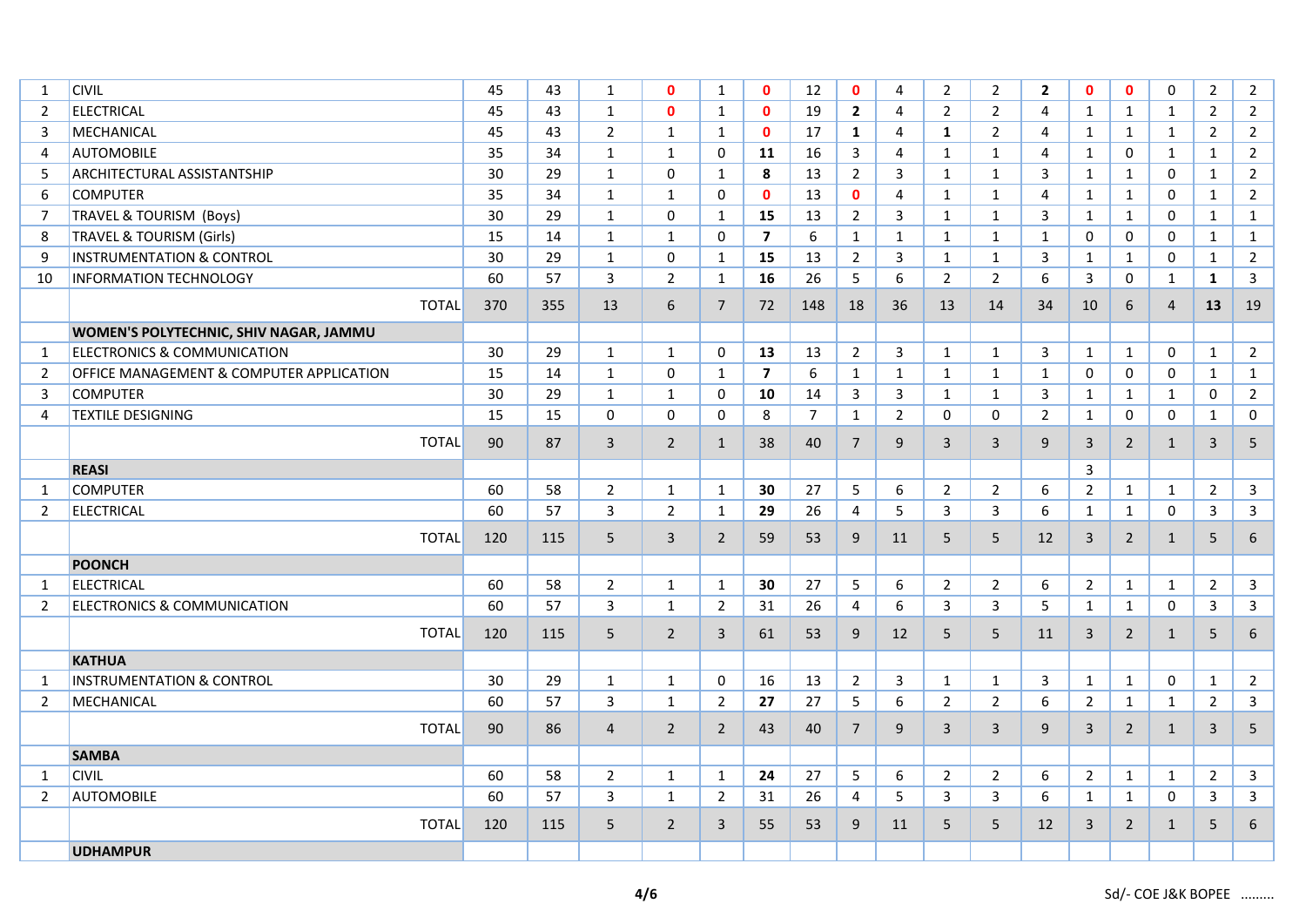| 1              | <b>CIVIL</b>                             | 45  | 43  | 1              | $\mathbf{0}$   | $\mathbf{1}$   | $\mathbf{0}$            | 12             | $\mathbf{0}$   | 4              | $\overline{2}$ | $\overline{2}$ | $\overline{2}$ | $\mathbf{0}$   | $\mathbf{0}$   | $\mathbf 0$    | $\overline{2}$ | $\overline{2}$          |
|----------------|------------------------------------------|-----|-----|----------------|----------------|----------------|-------------------------|----------------|----------------|----------------|----------------|----------------|----------------|----------------|----------------|----------------|----------------|-------------------------|
| 2              | <b>ELECTRICAL</b>                        | 45  | 43  | $\mathbf{1}$   | $\mathbf{0}$   | $\mathbf{1}$   | $\mathbf{0}$            | 19             | $\mathbf{2}$   | 4              | $\overline{2}$ | $\overline{2}$ | $\overline{4}$ | $\mathbf{1}$   | $\mathbf{1}$   | $\mathbf{1}$   | $\overline{2}$ | $2^{\circ}$             |
| 3              | <b>MECHANICAL</b>                        | 45  | 43  | $\overline{2}$ | $\mathbf{1}$   | $\mathbf{1}$   | $\mathbf{0}$            | 17             | $\mathbf{1}$   | 4              | $\mathbf{1}$   | $\overline{2}$ | $\overline{4}$ | $\mathbf{1}$   | $\mathbf{1}$   | $\mathbf{1}$   | $\overline{2}$ | $2^{\circ}$             |
| $\overline{4}$ | <b>AUTOMOBILE</b>                        | 35  | 34  | $\mathbf{1}$   | $\mathbf{1}$   | $\mathbf 0$    | 11                      | 16             | $\mathbf{3}$   | 4              | $\mathbf{1}$   | $\mathbf{1}$   | $\overline{4}$ | $\mathbf{1}$   | $\mathbf 0$    | $\mathbf{1}$   | $\mathbf{1}$   | $\overline{2}$          |
| 5              | <b>ARCHITECTURAL ASSISTANTSHIP</b>       | 30  | 29  | 1              | $\Omega$       | $\mathbf{1}$   | 8                       | 13             | $2^{\circ}$    | 3              | $\mathbf{1}$   | $\mathbf{1}$   | 3              | $\mathbf{1}$   | $\mathbf{1}$   | $\mathbf 0$    | $\mathbf{1}$   | $\overline{2}$          |
| 6              | <b>COMPUTER</b>                          | 35  | 34  | $\mathbf{1}$   | $\mathbf{1}$   | $\mathbf 0$    | $\mathbf{0}$            | 13             | $\mathbf{0}$   | 4              | $\mathbf{1}$   | $\mathbf{1}$   | $\overline{4}$ | $\mathbf{1}$   | $\mathbf{1}$   | $\mathbf 0$    | $\mathbf{1}$   | $\overline{2}$          |
| $\overline{7}$ | <b>TRAVEL &amp; TOURISM (Boys)</b>       | 30  | 29  | 1              | $\Omega$       | $\mathbf{1}$   | 15                      | 13             | $2^{\circ}$    | 3              | $\mathbf{1}$   | $\mathbf{1}$   | 3              | $\mathbf{1}$   | $\mathbf{1}$   | $\mathbf 0$    | $\mathbf{1}$   | $\mathbf{1}$            |
| 8              | <b>TRAVEL &amp; TOURISM (Girls)</b>      | 15  | 14  | $\mathbf{1}$   | $\mathbf{1}$   | $\mathbf 0$    | $\overline{\mathbf{z}}$ | 6              | $\mathbf{1}$   | $\mathbf{1}$   | $\mathbf{1}$   | $\mathbf{1}$   | $\mathbf{1}$   | $\mathbf 0$    | $\mathbf 0$    | $\mathbf 0$    | $\mathbf{1}$   | $\mathbf{1}$            |
| 9              | <b>INSTRUMENTATION &amp; CONTROL</b>     | 30  | 29  | $\mathbf{1}$   | $\Omega$       | $\mathbf{1}$   | 15                      | 13             | $2^{\circ}$    | 3              | $\mathbf{1}$   | $\mathbf{1}$   | 3              | $\mathbf{1}$   | $\mathbf{1}$   | $\mathbf 0$    | $\mathbf{1}$   | $2^{\circ}$             |
| 10             | <b>INFORMATION TECHNOLOGY</b>            | 60  | 57  | 3              | $\overline{2}$ | $\mathbf{1}$   | 16                      | 26             | 5              | 6              | $\overline{2}$ | $\overline{2}$ | 6              | 3              | $\mathbf 0$    | $\mathbf{1}$   | $\mathbf{1}$   | 3                       |
|                | <b>TOTAL</b>                             | 370 | 355 | 13             | 6              | $\overline{7}$ | 72                      | 148            | 18             | 36             | 13             | 14             | 34             | 10             | 6              | $\overline{4}$ | 13             | 19                      |
|                | WOMEN'S POLYTECHNIC, SHIV NAGAR, JAMMU   |     |     |                |                |                |                         |                |                |                |                |                |                |                |                |                |                |                         |
| 1              | <b>ELECTRONICS &amp; COMMUNICATION</b>   | 30  | 29  | $\mathbf{1}$   | $\mathbf{1}$   | 0              | 13                      | 13             | $\overline{2}$ | $\mathbf{3}$   | $\mathbf{1}$   | $\mathbf{1}$   | 3              | $\mathbf{1}$   | $\mathbf{1}$   | 0              | $\mathbf{1}$   | $\overline{2}$          |
| $\overline{2}$ | OFFICE MANAGEMENT & COMPUTER APPLICATION | 15  | 14  | $\mathbf{1}$   | 0              | $\mathbf{1}$   | $\overline{\mathbf{z}}$ | 6              | $\mathbf{1}$   | $\mathbf{1}$   | $\mathbf{1}$   | $\mathbf{1}$   | $\mathbf{1}$   | 0              | 0              | $\mathbf 0$    | $\mathbf{1}$   | $\mathbf{1}$            |
| 3              | <b>COMPUTER</b>                          | 30  | 29  | $\mathbf{1}$   | $\mathbf{1}$   | 0              | 10                      | 14             | $\mathbf{3}$   | 3              | $\mathbf{1}$   | $\mathbf{1}$   | 3              | $\mathbf{1}$   | $\mathbf{1}$   | $\mathbf{1}$   | 0              | $\overline{2}$          |
| 4              | <b>TEXTILE DESIGNING</b>                 | 15  | 15  | 0              | 0              | 0              | 8                       | $\overline{7}$ | $\mathbf{1}$   | $\overline{2}$ | 0              | 0              | $\overline{2}$ | $\mathbf{1}$   | 0              | $\mathbf 0$    | $\mathbf{1}$   | $\mathbf 0$             |
|                | <b>TOTAL</b>                             | 90  | 87  | $\overline{3}$ | $2^{\circ}$    | $\mathbf{1}$   | 38                      | 40             | $7^{\circ}$    | 9              | $\overline{3}$ | 3              | 9              | $\overline{3}$ | $\overline{2}$ | $\mathbf{1}$   | $\mathbf{3}$   | 5                       |
|                | <b>REASI</b>                             |     |     |                |                |                |                         |                |                |                |                |                |                | 3              |                |                |                |                         |
| 1              | <b>COMPUTER</b>                          | 60  | 58  | $\overline{2}$ | $\mathbf{1}$   | $\mathbf{1}$   | 30                      | 27             | 5              | 6              | $\overline{2}$ | $\overline{2}$ | 6              | $\overline{2}$ | $\mathbf{1}$   | $\mathbf{1}$   | $\overline{2}$ | $\mathbf{3}$            |
| $\overline{2}$ | <b>ELECTRICAL</b>                        | 60  | 57  | 3              | $\overline{2}$ | $\mathbf{1}$   | 29                      | 26             | $\overline{4}$ | 5              | 3              | $\overline{3}$ | 6              | $\mathbf{1}$   | $\mathbf{1}$   | $\mathbf 0$    | $\mathbf{3}$   | $\overline{\mathbf{3}}$ |
|                | <b>TOTAL</b>                             | 120 | 115 | 5              | $\overline{3}$ | $\overline{2}$ | 59                      | 53             | 9              | 11             | 5              | 5              | 12             | $\overline{3}$ | $\overline{2}$ | $\mathbf{1}$   | 5              | 6                       |
|                | <b>POONCH</b>                            |     |     |                |                |                |                         |                |                |                |                |                |                |                |                |                |                |                         |
| 1              | <b>ELECTRICAL</b>                        | 60  | 58  | $\overline{2}$ | $\mathbf{1}$   | $\mathbf{1}$   | 30                      | 27             | 5              | 6              | $\overline{2}$ | $\overline{2}$ | 6              | $\overline{2}$ | $\mathbf{1}$   | $\mathbf{1}$   | $\overline{2}$ | $\mathbf{3}$            |
| $\overline{2}$ | ELECTRONICS & COMMUNICATION              | 60  | 57  | $\overline{3}$ | $\mathbf{1}$   | $\overline{2}$ | 31                      | 26             | $\overline{4}$ | 6              | 3              | 3              | 5              | $\mathbf{1}$   | $\mathbf{1}$   | $\mathbf 0$    | 3              | $\mathbf{3}$            |
|                | <b>TOTAL</b>                             | 120 | 115 | 5              | $\overline{2}$ | $\mathbf{3}$   | 61                      | 53             | 9              | 12             | 5              | 5              | 11             | 3              | $\overline{2}$ | $\mathbf{1}$   | $5\phantom{.}$ | 6                       |
|                | <b>KATHUA</b>                            |     |     |                |                |                |                         |                |                |                |                |                |                |                |                |                |                |                         |
| 1              | <b>INSTRUMENTATION &amp; CONTROL</b>     | 30  | 29  | $\mathbf{1}$   | $\mathbf{1}$   | 0              | 16                      | 13             | $\overline{2}$ | 3              | $\mathbf{1}$   | $\mathbf{1}$   | 3              | $\mathbf{1}$   | $\mathbf{1}$   | 0              | $\mathbf{1}$   | $2^{\circ}$             |
| $\overline{2}$ | MECHANICAL                               | 60  | 57  | 3              | $\mathbf{1}$   | $\overline{2}$ | 27                      | 27             | 5              | 6              | $\overline{2}$ | $\overline{2}$ | 6              | $\overline{2}$ | $\mathbf{1}$   | $\mathbf{1}$   | $\overline{2}$ | $\mathbf{3}$            |
|                | <b>TOTAL</b>                             | 90  | 86  | $\overline{4}$ | $\overline{2}$ | $\overline{2}$ | 43                      | 40             | $\overline{7}$ | 9              | 3              | 3              | 9              | 3              | $\overline{2}$ | $\mathbf{1}$   | $\mathbf{3}$   | 5                       |
|                | <b>SAMBA</b>                             |     |     |                |                |                |                         |                |                |                |                |                |                |                |                |                |                |                         |
| 1              | <b>CIVIL</b>                             | 60  | 58  | $\overline{2}$ | $\mathbf{1}$   | $\mathbf{1}$   | 24                      | 27             | 5              | 6              | $\overline{2}$ | $\overline{2}$ | 6              | $\overline{2}$ | $\mathbf{1}$   | $\mathbf{1}$   | $\overline{2}$ | 3 <sup>1</sup>          |
| $\overline{2}$ | <b>AUTOMOBILE</b>                        | 60  | 57  | 3              | $\mathbf{1}$   | $\overline{2}$ | 31                      | 26             | $\overline{4}$ | 5              | 3              | 3              | 6              | 1              | $\mathbf{1}$   | $\mathbf 0$    | 3              | 3 <sup>1</sup>          |
|                | <b>TOTAL</b>                             | 120 | 115 | 5              | $\overline{2}$ | $\overline{3}$ | 55                      | 53             | 9              | 11             | 5              | 5              | 12             | $\overline{3}$ | $\overline{2}$ | $\mathbf{1}$   | 5              | 6                       |
|                | <b>UDHAMPUR</b>                          |     |     |                |                |                |                         |                |                |                |                |                |                |                |                |                |                |                         |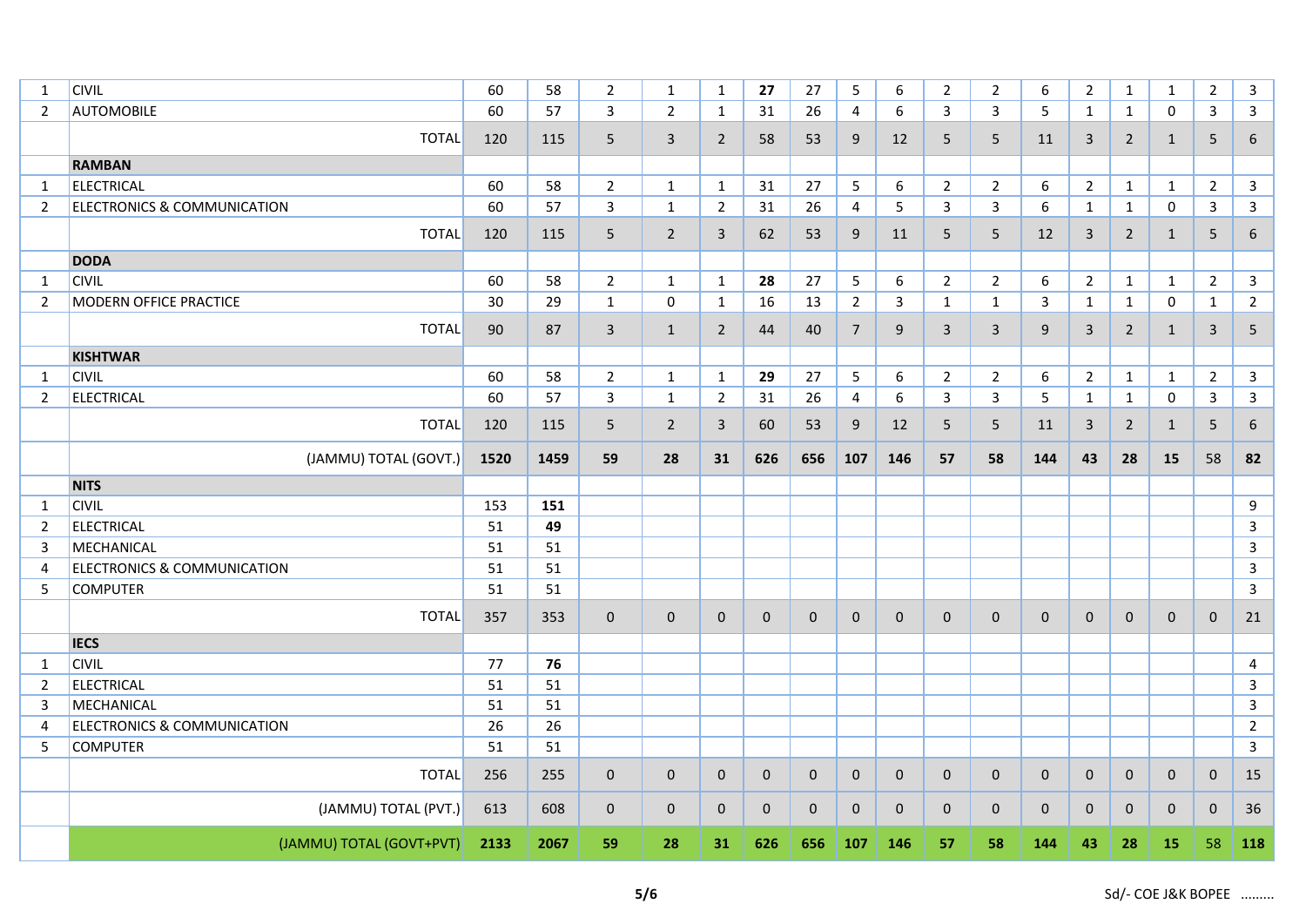| 1              | <b>CIVIL</b>                           | 60   | 58   | $\overline{2}$ | $\mathbf{1}$   | $\mathbf{1}$   | 27           | 27           | 5              | 6                | $\overline{2}$ | $\overline{2}$  | 6            | $\overline{2}$ | $\mathbf{1}$   | $\mathbf{1}$ | $\overline{2}$  | 3                |
|----------------|----------------------------------------|------|------|----------------|----------------|----------------|--------------|--------------|----------------|------------------|----------------|-----------------|--------------|----------------|----------------|--------------|-----------------|------------------|
| $\overline{2}$ | <b>AUTOMOBILE</b>                      | 60   | 57   | 3              | $\overline{2}$ | 1              | 31           | 26           | 4              | 6                | 3              | 3               | 5            | $\mathbf{1}$   | $\mathbf{1}$   | 0            | 3               | 3                |
|                | <b>TOTAL</b>                           | 120  | 115  | 5              | 3              | $\overline{2}$ | 58           | 53           | 9              | 12               | 5              | 5               | 11           | 3              | $\overline{2}$ | $\mathbf{1}$ | 5               | 6                |
|                | <b>RAMBAN</b>                          |      |      |                |                |                |              |              |                |                  |                |                 |              |                |                |              |                 |                  |
| $\mathbf{1}$   | <b>ELECTRICAL</b>                      | 60   | 58   | $\overline{2}$ | $\mathbf{1}$   | $\mathbf{1}$   | 31           | 27           | 5              | $\boldsymbol{6}$ | $\overline{2}$ | $\overline{2}$  | 6            | $\overline{2}$ | $\mathbf{1}$   | $\mathbf{1}$ | $\overline{2}$  | $\mathsf{3}$     |
| $\overline{2}$ | <b>ELECTRONICS &amp; COMMUNICATION</b> | 60   | 57   | 3              | $\mathbf{1}$   | $\overline{2}$ | 31           | 26           | 4              | 5                | 3              | $\mathbf{3}$    | 6            | $\mathbf{1}$   | $\mathbf{1}$   | $\mathbf 0$  | 3               | $\mathbf{3}$     |
|                | <b>TOTAL</b>                           | 120  | 115  | 5              | $\overline{2}$ | $\mathsf{3}$   | 62           | 53           | 9              | 11               | 5              | $5\phantom{.0}$ | 12           | 3              | $\overline{2}$ | $\mathbf{1}$ | 5               | $\boldsymbol{6}$ |
|                | <b>DODA</b>                            |      |      |                |                |                |              |              |                |                  |                |                 |              |                |                |              |                 |                  |
| 1              | <b>CIVIL</b>                           | 60   | 58   | $\overline{2}$ | $\mathbf{1}$   | $\mathbf{1}$   | 28           | 27           | 5              | 6                | $\overline{2}$ | $\overline{2}$  | 6            | $2^{\circ}$    | $\mathbf{1}$   | $\mathbf{1}$ | $\overline{2}$  | $\mathbf{3}$     |
| $\overline{2}$ | <b>MODERN OFFICE PRACTICE</b>          | 30   | 29   | 1              | $\mathbf 0$    | 1              | 16           | 13           | $\overline{2}$ | 3                | $\mathbf{1}$   | $\mathbf{1}$    | 3            | $\mathbf{1}$   | $\mathbf{1}$   | 0            | $\mathbf{1}$    | $\overline{2}$   |
|                | <b>TOTAL</b>                           | 90   | 87   | 3              | $\mathbf{1}$   | $\overline{2}$ | 44           | 40           | $\overline{7}$ | 9                | 3              | $\mathbf{3}$    | 9            | $\overline{3}$ | $\overline{2}$ | 1            | $\mathbf{3}$    | 5                |
|                | <b>KISHTWAR</b>                        |      |      |                |                |                |              |              |                |                  |                |                 |              |                |                |              |                 |                  |
| $\mathbf{1}$   | <b>CIVIL</b>                           | 60   | 58   | $\overline{2}$ | $\mathbf{1}$   | $\mathbf{1}$   | 29           | 27           | $5\phantom{.}$ | 6                | $\overline{2}$ | $\overline{2}$  | 6            | $2^{\circ}$    | $\mathbf{1}$   | $\mathbf{1}$ | $\overline{2}$  | $\mathbf{3}$     |
| $\overline{2}$ | ELECTRICAL                             | 60   | 57   | $\mathbf{3}$   | $\mathbf{1}$   | $\overline{2}$ | 31           | 26           | 4              | 6                | 3              | $\mathbf{3}$    | 5            | $\mathbf{1}$   | $\mathbf{1}$   | $\mathsf{O}$ | $\mathbf{3}$    | $\mathbf{3}$     |
|                | <b>TOTAL</b>                           | 120  | 115  | 5              | $\overline{2}$ | 3              | 60           | 53           | 9              | 12               | 5              | $5\phantom{.0}$ | 11           | 3              | $\overline{2}$ | $\mathbf{1}$ | $5\phantom{.0}$ | 6                |
|                | (JAMMU) TOTAL (GOVT.)                  | 1520 | 1459 | 59             | 28             | 31             | 626          | 656          | 107            | 146              | 57             | 58              | 144          | 43             | 28             | 15           | 58              | 82               |
|                | <b>NITS</b>                            |      |      |                |                |                |              |              |                |                  |                |                 |              |                |                |              |                 |                  |
| 1              | <b>CIVIL</b>                           | 153  | 151  |                |                |                |              |              |                |                  |                |                 |              |                |                |              |                 | $\boldsymbol{9}$ |
| $\overline{2}$ | <b>ELECTRICAL</b>                      | 51   | 49   |                |                |                |              |              |                |                  |                |                 |              |                |                |              |                 | $\overline{3}$   |
| 3              | MECHANICAL                             | 51   | 51   |                |                |                |              |              |                |                  |                |                 |              |                |                |              |                 | $\overline{3}$   |
| $\overline{4}$ | <b>ELECTRONICS &amp; COMMUNICATION</b> | 51   | 51   |                |                |                |              |              |                |                  |                |                 |              |                |                |              |                 | $\mathbf{3}$     |
| 5              | <b>COMPUTER</b>                        | 51   | 51   |                |                |                |              |              |                |                  |                |                 |              |                |                |              |                 | $\overline{3}$   |
|                | <b>TOTAL</b>                           | 357  | 353  | $\mathbf 0$    | $\mathbf 0$    | $\mathbf{0}$   | $\mathbf 0$  | $\mathbf{0}$ | $\mathbf{0}$   | $\mathbf 0$      | $\mathbf{0}$   | $\mathbf 0$     | $\mathbf 0$  | $\mathbf{0}$   | $\mathbf{0}$   | $\mathbf{0}$ | $\mathbf 0$     | 21               |
|                | <b>IECS</b>                            |      |      |                |                |                |              |              |                |                  |                |                 |              |                |                |              |                 |                  |
| 1              | <b>CIVIL</b>                           | 77   | 76   |                |                |                |              |              |                |                  |                |                 |              |                |                |              |                 | 4                |
| 2              | <b>ELECTRICAL</b>                      | 51   | 51   |                |                |                |              |              |                |                  |                |                 |              |                |                |              |                 | $\mathsf{3}$     |
| 3              | MECHANICAL                             | 51   | 51   |                |                |                |              |              |                |                  |                |                 |              |                |                |              |                 | $\overline{3}$   |
| $\overline{4}$ | <b>ELECTRONICS &amp; COMMUNICATION</b> | 26   | 26   |                |                |                |              |              |                |                  |                |                 |              |                |                |              |                 | $\overline{2}$   |
| 5              | <b>COMPUTER</b>                        | 51   | 51   |                |                |                |              |              |                |                  |                |                 |              |                |                |              |                 | 3                |
|                | <b>TOTAL</b>                           | 256  | 255  | $\mathbf 0$    | $\mathbf 0$    | $\mathbf 0$    | $\mathbf 0$  | $\mathbf 0$  | $\mathbf 0$    | $\mathbf 0$      | $\mathbf 0$    | $\mathbf 0$     | $\mathbf 0$  | $\mathbf 0$    | $\mathbf 0$    | $\mathbf 0$  | $\mathbf 0$     | 15               |
|                | (JAMMU) TOTAL (PVT.)                   | 613  | 608  | $\mathbf{0}$   | $\mathbf 0$    | $\mathbf{0}$   | $\mathbf{0}$ | $\mathbf{0}$ | $\mathbf{0}$   | $\mathbf{0}$     | $\mathbf{0}$   | $\mathbf 0$     | $\mathbf{0}$ | $\mathbf{0}$   | $\mathbf{0}$   | $\mathbf{0}$ | $\mathbf{0}$    | 36               |
|                | (JAMMU) TOTAL (GOVT+PVT)               | 2133 | 2067 | 59             | 28             | 31             | 626          | 656          | 107            | 146              | 57             | 58              | 144          | 43             | 28             | 15           | 58              | 118              |